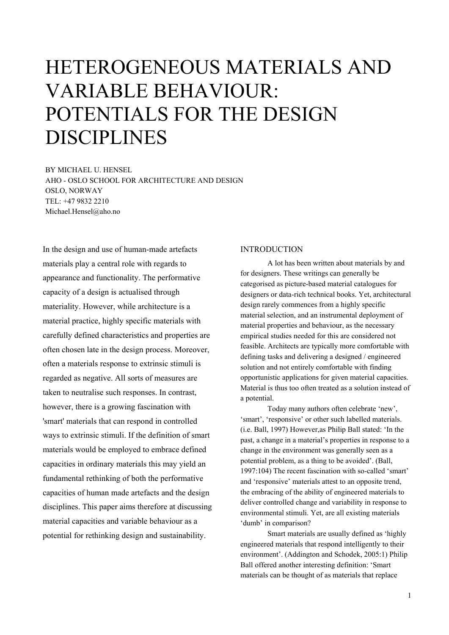# HETEROGENEOUS MATERIALS AND VARIABLE BEHAVIOUR: POTENTIALS FOR THE DESIGN DISCIPLINES

BY MICHAEL U. HENSEL AHO - OSLO SCHOOL FOR ARCHITECTURE AND DESIGN OSLO, NORWAY TEL: +47 9832 2210 Michael.Hensel@aho.no

In the design and use of human-made artefacts materials play a central role with regards to appearance and functionality. The performative capacity of a design is actualised through materiality. However, while architecture is a material practice, highly specific materials with carefully defined characteristics and properties are often chosen late in the design process. Moreover, often a materials response to extrinsic stimuli is regarded as negative. All sorts of measures are taken to neutralise such responses. In contrast, however, there is a growing fascination with 'smart' materials that can respond in controlled ways to extrinsic stimuli. If the definition of smart materials would be employed to embrace defined capacities in ordinary materials this may yield an fundamental rethinking of both the performative capacities of human made artefacts and the design disciplines. This paper aims therefore at discussing material capacities and variable behaviour as a potential for rethinking design and sustainability.

#### INTRODUCTION

A lot has been written about materials by and for designers. These writings can generally be categorised as picture-based material catalogues for designers or data-rich technical books. Yet, architectural design rarely commences from a highly specific material selection, and an instrumental deployment of material properties and behaviour, as the necessary empirical studies needed for this are considered not feasible. Architects are typically more comfortable with defining tasks and delivering a designed / engineered solution and not entirely comfortable with finding opportunistic applications for given material capacities. Material is thus too often treated as a solution instead of a potential.

Today many authors often celebrate 'new', 'smart', 'responsive' or other such labelled materials. (i.e. Ball, 1997) However,as Philip Ball stated: 'In the past, a change in a material's properties in response to a change in the environment was generally seen as a potential problem, as a thing to be avoided'. (Ball, 1997:104) The recent fascination with so-called 'smart' and 'responsive' materials attest to an opposite trend, the embracing of the ability of engineered materials to deliver controlled change and variability in response to environmental stimuli. Yet, are all existing materials 'dumb' in comparison?

Smart materials are usually defined as 'highly engineered materials that respond intelligently to their environment'. (Addington and Schodek, 2005:1) Philip Ball offered another interesting definition: 'Smart materials can be thought of as materials that replace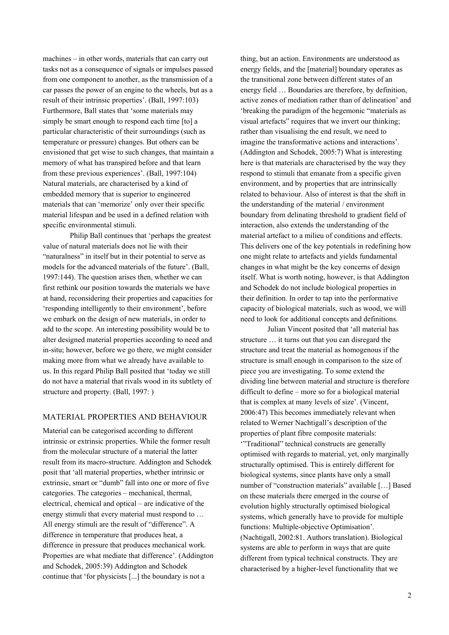machines – in other words, materials that can carry out tasks not as a consequence of signals or impulses passed from one component to another, as the transmission of a car passes the power of an engine to the wheels, but as a result of their intrinsic properties'. (Ball, 1997:103) Furthermore, Ball states that 'some materials may simply be smart enough to respond each time [to] a particular characteristic of their surroundings (such as temperature or pressure) changes. But others can be envisioned that get wise to such changes, that maintain a memory of what has transpired before and that learn from these previous experiences'. (Ball, 1997:104) Natural materials, are characterised by a kind of embedded memory that is superior to engineered materials that can 'memorize' only over their specific material lifespan and be used in a defined relation with specific environmental stimuli.

Philip Ball continues that 'perhaps the greatest value of natural materials does not lie with their "naturalness" in itself but in their potential to serve as models for the advanced materials of the future'. (Ball, 1997:144). The question arises then, whether we can first rethink our position towards the materials we have at hand, reconsidering their properties and capacities for 'responding intelligently to their environment', before we embark on the design of new materials, in order to add to the scope. An interesting possibility would be to alter designed material properties according to need and in-situ; however, before we go there, we might consider making more from what we already have available to us. In this regard Philip Ball posited that 'today we still do not have a material that rivals wood in its subtlety of structure and property. (Ball, 1997: )

### MATERIAL PROPERTIES AND BEHAVIOUR

Material can be categorised according to different intrinsic or extrinsic properties. While the former result from the molecular structure of a material the latter result from its macro-structure. Addington and Schodek posit that 'all material properties, whether intrinsic or extrinsic, smart or "dumb" fall into one or more of five categories. The categories – mechanical, thermal, electrical, chemical and optical – are indicative of the energy stimuli that every material must respond to … All energy stimuli are the result of "difference". A difference in temperature that produces heat, a difference in pressure that produces mechanical work. Properties are what mediate that difference'. (Addington and Schodek, 2005:39) Addington and Schodek continue that 'for physicists [...] the boundary is not a

thing, but an action. Environments are understood as energy fields, and the [material] boundary operates as the transitional zone between different states of an energy field … Boundaries are therefore, by definition, active zones of mediation rather than of delineation' and 'breaking the paradigm of the hegemonic "materials as visual artefacts" requires that we invert our thinking; rather than visualising the end result, we need to imagine the transformative actions and interactions'. (Addington and Schodek, 2005:7) What is interesting here is that materials are characterised by the way they respond to stimuli that emanate from a specific given environment, and by properties that are intrinsically related to behaviour. Also of interest is that the shift in the understanding of the material / environment boundary from delinating threshold to gradient field of interaction, also extends the understanding of the material artefact to a milieu of conditions and effects. This delivers one of the key potentials in redefining how one might relate to artefacts and yields fundamental changes in what might be the key concerns of design itself. What is worth noting, however, is that Addington and Schodek do not include biological properties in their definition. In order to tap into the performative capacity of biological materials, such as wood, we will need to look for additional concepts and definitions.

Julian Vincent posited that 'all material has structure … it turns out that you can disregard the structure and treat the material as homogenous if the structure is small enough in comparison to the size of piece you are investigating. To some extend the dividing line between material and structure is therefore difficult to define – more so for a biological material that is complex at many levels of size'. (Vincent, 2006:47) This becomes immediately relevant when related to Werner Nachtigall's description of the properties of plant fibre composite materials:

'"Traditional" technical constructs are generally optimised with regards to material, yet, only marginally structurally optimised. This is entirely different for biological systems, since plants have only a small number of "construction materials" available […] Based on these materials there emerged in the course of evolution highly structurally optimised biological systems, which generally have to provide for multiple functions: Multiple-objective Optimisation'. (Nachtigall, 2002:81. Authors translation). Biological systems are able to perform in ways that are quite different from typical technical constructs. They are characterised by a higher-level functionality that we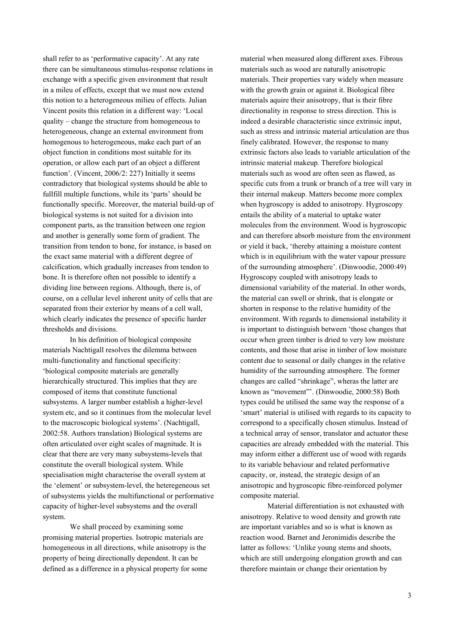shall refer to as 'performative capacity'. At any rate there can be simultaneous stimulus-response relations in exchange with a specific given environment that result in a mileu of effects, except that we must now extend this notion to a heterogeneous milieu of effects. Julian Vincent posits this relation in a different way: 'Local quality – change the structure from homogeneous to heterogeneous, change an external environment from homogenous to heterogeneous, make each part of an object function in conditions most suitable for its operation, or allow each part of an object a different function'. (Vincent, 2006/2: 227) Initially it seems contradictory that biological systems should be able to fullfill multiple functions, while its 'parts' should be functionally specific. Moreover, the material build-up of biological systems is not suited for a division into component parts, as the transition between one region and another is generally some form of gradient. The transition from tendon to bone, for instance, is based on the exact same material with a different degree of calcification, which gradually increases from tendon to bone. It is therefore often not possible to identify a dividing line between regions. Although, there is, of course, on a cellular level inherent unity of cells that are separated from their exterior by means of a cell wall, which clearly indicates the presence of specific harder thresholds and divisions.

In his definition of biological composite materials Nachtigall resolves the dilemma between multi-functionality and functional specificity: 'biological composite materials are generally hierarchically structured. This implies that they are composed of items that constitute functional subsystems. A larger number establish a higher-level system etc, and so it continues from the molecular level to the macroscopic biological systems'. (Nachtigall, 2002:58. Authors translation) Biological systems are often articulated over eight scales of magnitude. It is clear that there are very many subsystems-levels that constitute the overall biological system. While specialisation might characterise the overall system at the 'element' or subsystem-level, the heteregeneous set of subsystems yields the multifunctional or performative capacity of higher-level subsystems and the overall system.

We shall proceed by examining some promising material properties. Isotropic materials are homogeneous in all directions, while anisotropy is the property of being directionally dependent. It can be defined as a difference in a physical property for some

material when measured along different axes. Fibrous materials such as wood are naturally anisotropic materials. Their properties vary widely when measure with the growth grain or against it. Biological fibre materials aquire their anisotropy, that is their fibre directionality in response to stress direction. This is indeed a desirable characteristic since extrinsic input, such as stress and intrinsic material articulation are thus finely calibrated. However, the response to many extrinsic factors also leads to variable articulation of the intrinsic material makeup. Therefore biological materials such as wood are often seen as flawed, as specific cuts from a trunk or branch of a tree will vary in their internal makeup. Matters become more complex when hygroscopy is added to anisotropy. Hygroscopy entails the ability of a material to uptake water molecules from the environment. Wood is hygroscopic and can therefore absorb moisture from the environment or yield it back, 'thereby attaining a moisture content which is in equilibrium with the water vapour pressure of the surrounding atmosphere'. (Dinwoodie, 2000:49) Hygroscopy coupled with anisotropy leads to dimensional variability of the material. In other words, the material can swell or shrink, that is elongate or shorten in response to the relative humidity of the environment. With regards to dimensional instability it is important to distinguish between 'those changes that occur when green timber is dried to very low moisture contents, and those that arise in timber of low moisture content due to seasonal or daily changes in the relative humidity of the surrounding atmosphere. The former changes are called "shrinkage", wheras the latter are known as "movement"'. (Dinwoodie, 2000:58) Both types could be utilised the same way the response of a 'smart' material is utilised with regards to its capacity to correspond to a specifically chosen stimulus. Instead of a technical array of sensor, translator and actuator these capacities are already embedded with the material. This may inform either a different use of wood with regards to its variable behaviour and related performative capacity, or, instead, the strategic design of an anisotropic and hygroscopic fibre-reinforced polymer composite material.

Material differentiation is not exhausted with anisotropy. Relative to wood density and growth rate are important variables and so is what is known as reaction wood. Barnet and Jeronimidis describe the latter as follows: 'Unlike young stems and shoots, which are still undergoing elongation growth and can therefore maintain or change their orientation by